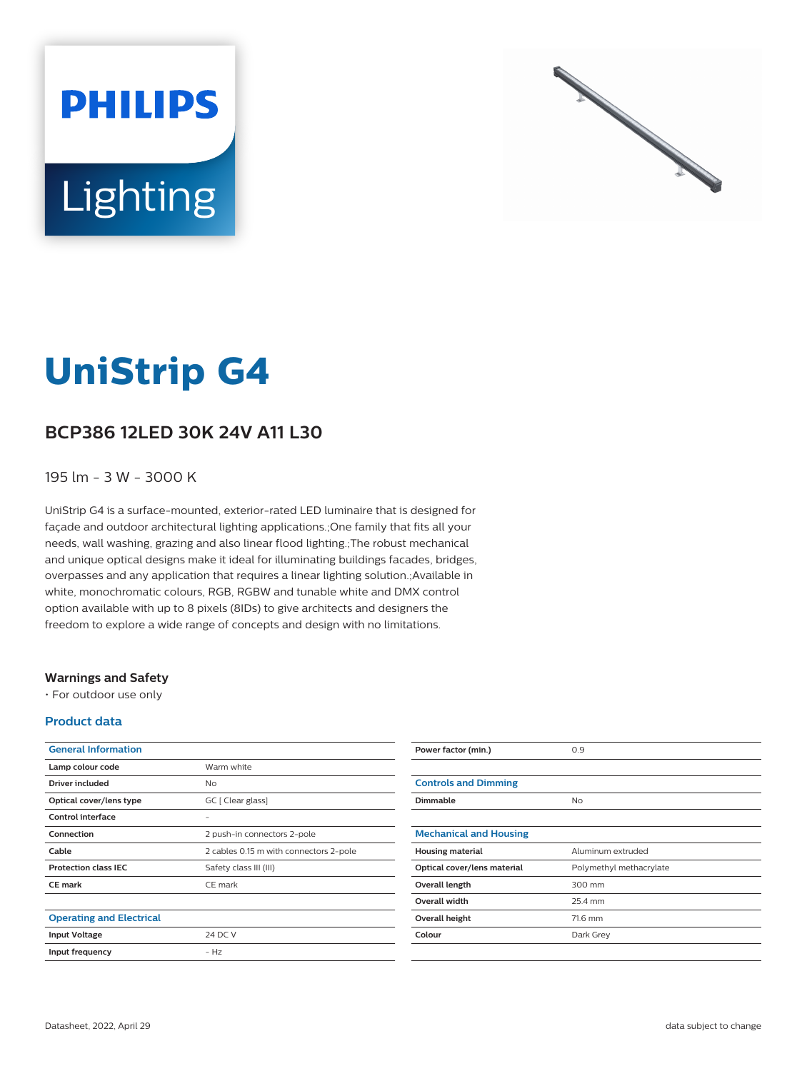



# **UniStrip G4**

## **BCP386 12LED 30K 24V A11 L30**

### 195 lm - 3 W - 3000 K

UniStrip G4 is a surface-mounted, exterior-rated LED luminaire that is designed for façade and outdoor architectural lighting applications.;One family that fits all your needs, wall washing, grazing and also linear flood lighting.;The robust mechanical and unique optical designs make it ideal for illuminating buildings facades, bridges, overpasses and any application that requires a linear lighting solution.;Available in white, monochromatic colours, RGB, RGBW and tunable white and DMX control option available with up to 8 pixels (8IDs) to give architects and designers the freedom to explore a wide range of concepts and design with no limitations.

#### **Warnings and Safety**

• For outdoor use only

#### **Product data**

| <b>General Information</b>      |                                        |
|---------------------------------|----------------------------------------|
| Lamp colour code                | Warm white                             |
| Driver included                 | Nο                                     |
| Optical cover/lens type         | GC [ Clear glass]                      |
| Control interface               |                                        |
| Connection                      | 2 push-in connectors 2-pole            |
| Cable                           | 2 cables 0.15 m with connectors 2-pole |
| <b>Protection class IEC</b>     | Safety class III (III)                 |
| <b>CE</b> mark                  | CE mark                                |
|                                 |                                        |
| <b>Operating and Electrical</b> |                                        |
| <b>Input Voltage</b>            | 24 DC V                                |
| Input frequency                 | $- Hz$                                 |
|                                 |                                        |

| Power factor (min.)           | 0.9                     |
|-------------------------------|-------------------------|
|                               |                         |
| <b>Controls and Dimming</b>   |                         |
| <b>Dimmable</b>               | No                      |
|                               |                         |
| <b>Mechanical and Housing</b> |                         |
| <b>Housing material</b>       | Aluminum extruded       |
| Optical cover/lens material   | Polymethyl methacrylate |
| Overall length                | 300 mm                  |
| <b>Overall width</b>          | 25.4 mm                 |
| Overall height                | 71.6 mm                 |
| Colour                        | Dark Grey               |
|                               |                         |